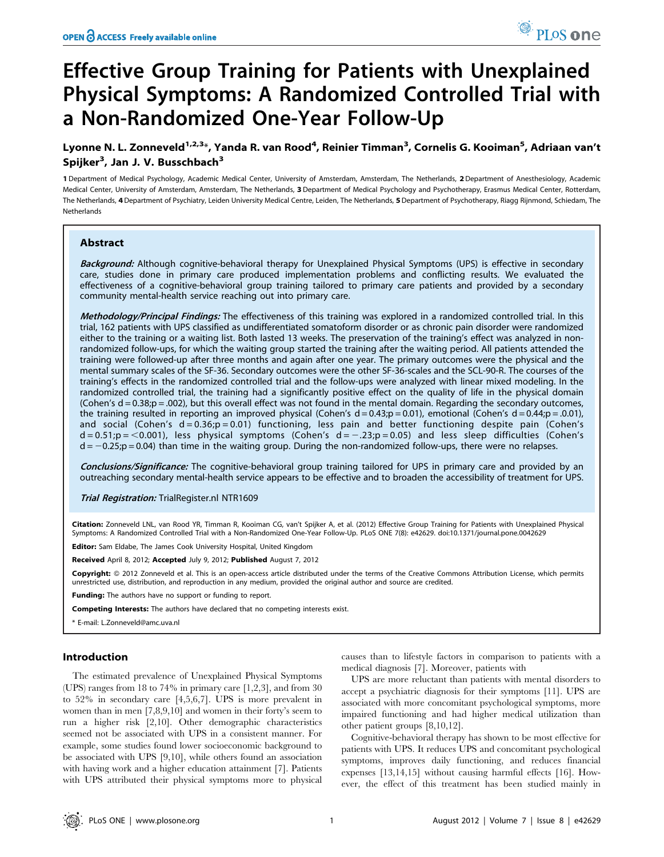# Effective Group Training for Patients with Unexplained Physical Symptoms: A Randomized Controlled Trial with a Non-Randomized One-Year Follow-Up

# Lyonne N. L. Zonneveld<sup>1,2,3</sup>\*, Yanda R. van Rood<sup>4</sup>, Reinier Timman<sup>3</sup>, Cornelis G. Kooiman<sup>5</sup>, Adriaan van't Spijker<sup>3</sup>, Jan J. V. Busschbach<sup>3</sup>

1 Department of Medical Psychology, Academic Medical Center, University of Amsterdam, Amsterdam, The Netherlands, 2Department of Anesthesiology, Academic Medical Center, University of Amsterdam, Amsterdam, The Netherlands, 3 Department of Medical Psychology and Psychotherapy, Erasmus Medical Center, Rotterdam, The Netherlands, 4Department of Psychiatry, Leiden University Medical Centre, Leiden, The Netherlands, 5Department of Psychotherapy, Riagg Rijnmond, Schiedam, The Netherlands

# Abstract

Background: Although cognitive-behavioral therapy for Unexplained Physical Symptoms (UPS) is effective in secondary care, studies done in primary care produced implementation problems and conflicting results. We evaluated the effectiveness of a cognitive-behavioral group training tailored to primary care patients and provided by a secondary community mental-health service reaching out into primary care.

Methodology/Principal Findings: The effectiveness of this training was explored in a randomized controlled trial. In this trial, 162 patients with UPS classified as undifferentiated somatoform disorder or as chronic pain disorder were randomized either to the training or a waiting list. Both lasted 13 weeks. The preservation of the training's effect was analyzed in nonrandomized follow-ups, for which the waiting group started the training after the waiting period. All patients attended the training were followed-up after three months and again after one year. The primary outcomes were the physical and the mental summary scales of the SF-36. Secondary outcomes were the other SF-36-scales and the SCL-90-R. The courses of the training's effects in the randomized controlled trial and the follow-ups were analyzed with linear mixed modeling. In the randomized controlled trial, the training had a significantly positive effect on the quality of life in the physical domain (Cohen's  $d = 0.38$ ;p = .002), but this overall effect was not found in the mental domain. Regarding the secondary outcomes, the training resulted in reporting an improved physical (Cohen's  $d = 0.43$ ;p = 0.01), emotional (Cohen's  $d = 0.44$ ;p = .0.01), and social (Cohen's  $d = 0.36$ ; $p = 0.01$ ) functioning, less pain and better functioning despite pain (Cohen's  $d = 0.51$ ;p = <0.001), less physical symptoms (Cohen's  $d = -.23$ ;p = 0.05) and less sleep difficulties (Cohen's  $d = -0.25$ ;p = 0.04) than time in the waiting group. During the non-randomized follow-ups, there were no relapses.

Conclusions/Significance: The cognitive-behavioral group training tailored for UPS in primary care and provided by an outreaching secondary mental-health service appears to be effective and to broaden the accessibility of treatment for UPS.

**Trial Registration: TrialRegister.nl NTR1609** 

Citation: Zonneveld LNL, van Rood YR, Timman R, Kooiman CG, van't Spijker A, et al. (2012) Effective Group Training for Patients with Unexplained Physical Symptoms: A Randomized Controlled Trial with a Non-Randomized One-Year Follow-Up. PLoS ONE 7(8): e42629. doi:10.1371/journal.pone.0042629

Editor: Sam Eldabe, The James Cook University Hospital, United Kingdom

Received April 8, 2012; Accepted July 9, 2012; Published August 7, 2012

Copyright: © 2012 Zonneveld et al. This is an open-access article distributed under the terms of the Creative Commons Attribution License, which permits unrestricted use, distribution, and reproduction in any medium, provided the original author and source are credited.

Funding: The authors have no support or funding to report.

Competing Interests: The authors have declared that no competing interests exist.

\* E-mail: L.Zonneveld@amc.uva.nl

# Introduction

The estimated prevalence of Unexplained Physical Symptoms (UPS) ranges from 18 to 74% in primary care [1,2,3], and from 30 to 52% in secondary care [4,5,6,7]. UPS is more prevalent in women than in men [7,8,9,10] and women in their forty's seem to run a higher risk [2,10]. Other demographic characteristics seemed not be associated with UPS in a consistent manner. For example, some studies found lower socioeconomic background to be associated with UPS [9,10], while others found an association with having work and a higher education attainment [7]. Patients with UPS attributed their physical symptoms more to physical causes than to lifestyle factors in comparison to patients with a medical diagnosis [7]. Moreover, patients with

UPS are more reluctant than patients with mental disorders to accept a psychiatric diagnosis for their symptoms [11]. UPS are associated with more concomitant psychological symptoms, more impaired functioning and had higher medical utilization than other patient groups [8,10,12].

Cognitive-behavioral therapy has shown to be most effective for patients with UPS. It reduces UPS and concomitant psychological symptoms, improves daily functioning, and reduces financial expenses [13,14,15] without causing harmful effects [16]. However, the effect of this treatment has been studied mainly in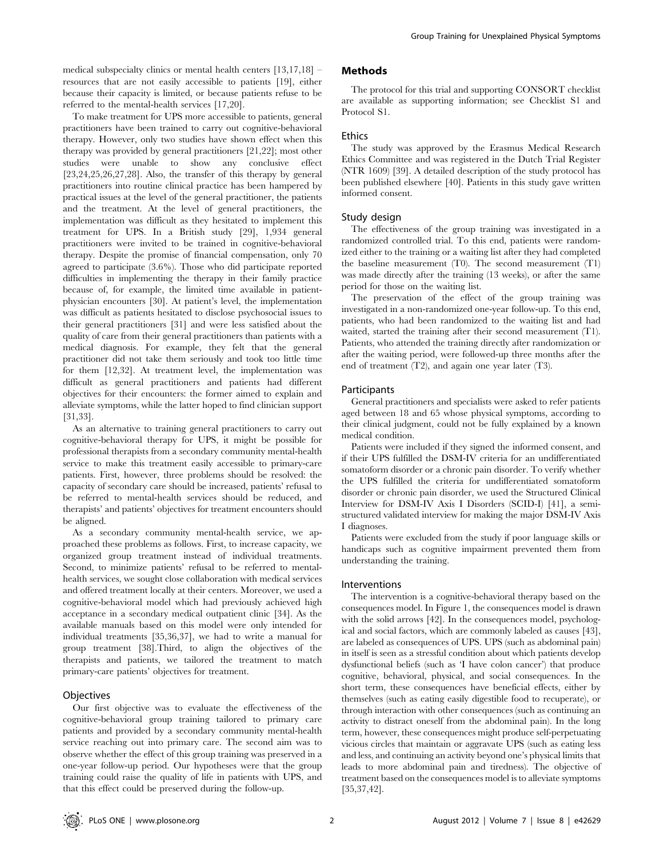medical subspecialty clinics or mental health centers [13,17,18] – resources that are not easily accessible to patients [19], either because their capacity is limited, or because patients refuse to be referred to the mental-health services [17,20].

To make treatment for UPS more accessible to patients, general practitioners have been trained to carry out cognitive-behavioral therapy. However, only two studies have shown effect when this therapy was provided by general practitioners [21,22]; most other studies were unable to show any conclusive effect [23,24,25,26,27,28]. Also, the transfer of this therapy by general practitioners into routine clinical practice has been hampered by practical issues at the level of the general practitioner, the patients and the treatment. At the level of general practitioners, the implementation was difficult as they hesitated to implement this treatment for UPS. In a British study [29], 1,934 general practitioners were invited to be trained in cognitive-behavioral therapy. Despite the promise of financial compensation, only 70 agreed to participate (3.6%). Those who did participate reported difficulties in implementing the therapy in their family practice because of, for example, the limited time available in patientphysician encounters [30]. At patient's level, the implementation was difficult as patients hesitated to disclose psychosocial issues to their general practitioners [31] and were less satisfied about the quality of care from their general practitioners than patients with a medical diagnosis. For example, they felt that the general practitioner did not take them seriously and took too little time for them [12,32]. At treatment level, the implementation was difficult as general practitioners and patients had different objectives for their encounters: the former aimed to explain and alleviate symptoms, while the latter hoped to find clinician support [31,33].

As an alternative to training general practitioners to carry out cognitive-behavioral therapy for UPS, it might be possible for professional therapists from a secondary community mental-health service to make this treatment easily accessible to primary-care patients. First, however, three problems should be resolved: the capacity of secondary care should be increased, patients' refusal to be referred to mental-health services should be reduced, and therapists' and patients' objectives for treatment encounters should be aligned.

As a secondary community mental-health service, we approached these problems as follows. First, to increase capacity, we organized group treatment instead of individual treatments. Second, to minimize patients' refusal to be referred to mentalhealth services, we sought close collaboration with medical services and offered treatment locally at their centers. Moreover, we used a cognitive-behavioral model which had previously achieved high acceptance in a secondary medical outpatient clinic [34]. As the available manuals based on this model were only intended for individual treatments [35,36,37], we had to write a manual for group treatment [38].Third, to align the objectives of the therapists and patients, we tailored the treatment to match primary-care patients' objectives for treatment.

# **Objectives**

Our first objective was to evaluate the effectiveness of the cognitive-behavioral group training tailored to primary care patients and provided by a secondary community mental-health service reaching out into primary care. The second aim was to observe whether the effect of this group training was preserved in a one-year follow-up period. Our hypotheses were that the group training could raise the quality of life in patients with UPS, and that this effect could be preserved during the follow-up.

# Methods

The protocol for this trial and supporting CONSORT checklist are available as supporting information; see Checklist S1 and Protocol S1.

#### Ethics

The study was approved by the Erasmus Medical Research Ethics Committee and was registered in the Dutch Trial Register (NTR 1609) [39]. A detailed description of the study protocol has been published elsewhere [40]. Patients in this study gave written informed consent.

# Study design

The effectiveness of the group training was investigated in a randomized controlled trial. To this end, patients were randomized either to the training or a waiting list after they had completed the baseline measurement (T0). The second measurement (T1) was made directly after the training (13 weeks), or after the same period for those on the waiting list.

The preservation of the effect of the group training was investigated in a non-randomized one-year follow-up. To this end, patients, who had been randomized to the waiting list and had waited, started the training after their second measurement (T1). Patients, who attended the training directly after randomization or after the waiting period, were followed-up three months after the end of treatment (T2), and again one year later (T3).

#### Participants

General practitioners and specialists were asked to refer patients aged between 18 and 65 whose physical symptoms, according to their clinical judgment, could not be fully explained by a known medical condition.

Patients were included if they signed the informed consent, and if their UPS fulfilled the DSM-IV criteria for an undifferentiated somatoform disorder or a chronic pain disorder. To verify whether the UPS fulfilled the criteria for undifferentiated somatoform disorder or chronic pain disorder, we used the Structured Clinical Interview for DSM-IV Axis I Disorders (SCID-I) [41], a semistructured validated interview for making the major DSM-IV Axis I diagnoses.

Patients were excluded from the study if poor language skills or handicaps such as cognitive impairment prevented them from understanding the training.

#### Interventions

The intervention is a cognitive-behavioral therapy based on the consequences model. In Figure 1, the consequences model is drawn with the solid arrows [42]. In the consequences model, psychological and social factors, which are commonly labeled as causes [43], are labeled as consequences of UPS. UPS (such as abdominal pain) in itself is seen as a stressful condition about which patients develop dysfunctional beliefs (such as 'I have colon cancer') that produce cognitive, behavioral, physical, and social consequences. In the short term, these consequences have beneficial effects, either by themselves (such as eating easily digestible food to recuperate), or through interaction with other consequences (such as continuing an activity to distract oneself from the abdominal pain). In the long term, however, these consequences might produce self-perpetuating vicious circles that maintain or aggravate UPS (such as eating less and less, and continuing an activity beyond one's physical limits that leads to more abdominal pain and tiredness). The objective of treatment based on the consequences model is to alleviate symptoms [35,37,42].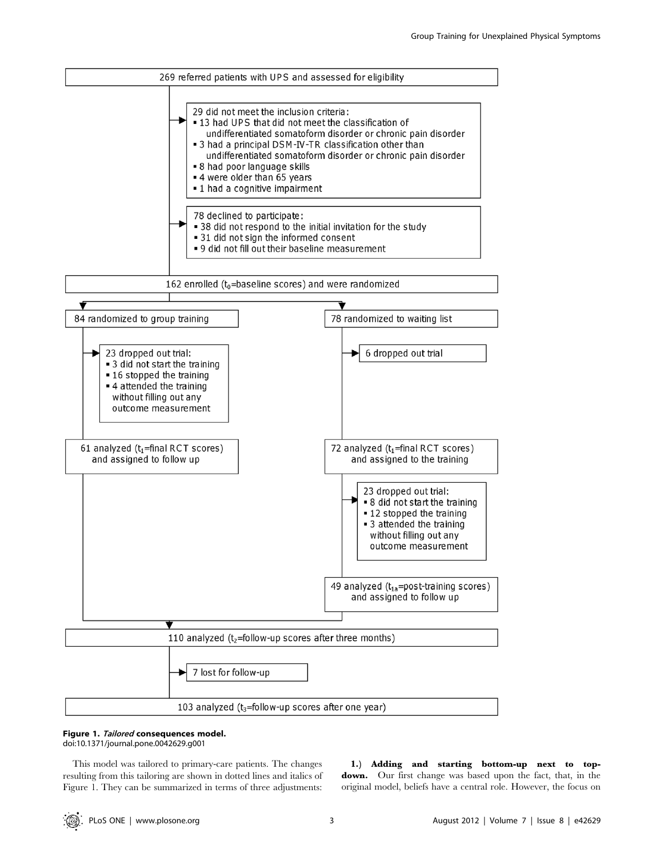

#### Figure 1. Tailored consequences model. doi:10.1371/journal.pone.0042629.g001

This model was tailored to primary-care patients. The changes resulting from this tailoring are shown in dotted lines and italics of Figure 1. They can be summarized in terms of three adjustments:

1.) Adding and starting bottom-up next to topdown. Our first change was based upon the fact, that, in the original model, beliefs have a central role. However, the focus on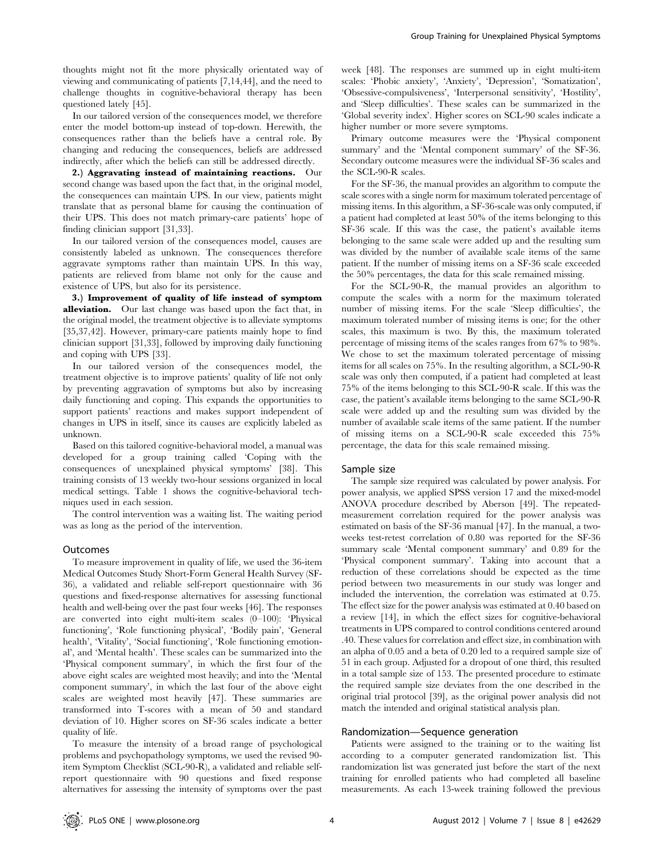thoughts might not fit the more physically orientated way of viewing and communicating of patients [7,14,44], and the need to challenge thoughts in cognitive-behavioral therapy has been questioned lately [45].

In our tailored version of the consequences model, we therefore enter the model bottom-up instead of top-down. Herewith, the consequences rather than the beliefs have a central role. By changing and reducing the consequences, beliefs are addressed indirectly, after which the beliefs can still be addressed directly.

2.) Aggravating instead of maintaining reactions. Our second change was based upon the fact that, in the original model, the consequences can maintain UPS. In our view, patients might translate that as personal blame for causing the continuation of their UPS. This does not match primary-care patients' hope of finding clinician support [31,33].

In our tailored version of the consequences model, causes are consistently labeled as unknown. The consequences therefore aggravate symptoms rather than maintain UPS. In this way, patients are relieved from blame not only for the cause and existence of UPS, but also for its persistence.

3.) Improvement of quality of life instead of symptom alleviation. Our last change was based upon the fact that, in the original model, the treatment objective is to alleviate symptoms [35,37,42]. However, primary-care patients mainly hope to find clinician support [31,33], followed by improving daily functioning and coping with UPS [33].

In our tailored version of the consequences model, the treatment objective is to improve patients' quality of life not only by preventing aggravation of symptoms but also by increasing daily functioning and coping. This expands the opportunities to support patients' reactions and makes support independent of changes in UPS in itself, since its causes are explicitly labeled as unknown.

Based on this tailored cognitive-behavioral model, a manual was developed for a group training called 'Coping with the consequences of unexplained physical symptoms' [38]. This training consists of 13 weekly two-hour sessions organized in local medical settings. Table 1 shows the cognitive-behavioral techniques used in each session.

The control intervention was a waiting list. The waiting period was as long as the period of the intervention.

#### Outcomes

To measure improvement in quality of life, we used the 36-item Medical Outcomes Study Short-Form General Health Survey (SF-36), a validated and reliable self-report questionnaire with 36 questions and fixed-response alternatives for assessing functional health and well-being over the past four weeks [46]. The responses are converted into eight multi-item scales (0–100): 'Physical functioning', 'Role functioning physical', 'Bodily pain', 'General health', 'Vitality', 'Social functioning', 'Role functioning emotional', and 'Mental health'. These scales can be summarized into the 'Physical component summary', in which the first four of the above eight scales are weighted most heavily; and into the 'Mental component summary', in which the last four of the above eight scales are weighted most heavily [47]. These summaries are transformed into T-scores with a mean of 50 and standard deviation of 10. Higher scores on SF-36 scales indicate a better quality of life.

To measure the intensity of a broad range of psychological problems and psychopathology symptoms, we used the revised 90 item Symptom Checklist (SCL-90-R), a validated and reliable selfreport questionnaire with 90 questions and fixed response alternatives for assessing the intensity of symptoms over the past week [48]. The responses are summed up in eight multi-item scales: 'Phobic anxiety', 'Anxiety', 'Depression', 'Somatization', 'Obsessive-compulsiveness', 'Interpersonal sensitivity', 'Hostility', and 'Sleep difficulties'. These scales can be summarized in the 'Global severity index'. Higher scores on SCL-90 scales indicate a higher number or more severe symptoms.

Primary outcome measures were the 'Physical component summary' and the 'Mental component summary' of the SF-36. Secondary outcome measures were the individual SF-36 scales and the SCL-90-R scales.

For the SF-36, the manual provides an algorithm to compute the scale scores with a single norm for maximum tolerated percentage of missing items. In this algorithm, a SF-36-scale was only computed, if a patient had completed at least 50% of the items belonging to this SF-36 scale. If this was the case, the patient's available items belonging to the same scale were added up and the resulting sum was divided by the number of available scale items of the same patient. If the number of missing items on a SF-36 scale exceeded the 50% percentages, the data for this scale remained missing.

For the SCL-90-R, the manual provides an algorithm to compute the scales with a norm for the maximum tolerated number of missing items. For the scale 'Sleep difficulties', the maximum tolerated number of missing items is one; for the other scales, this maximum is two. By this, the maximum tolerated percentage of missing items of the scales ranges from 67% to 98%. We chose to set the maximum tolerated percentage of missing items for all scales on 75%. In the resulting algorithm, a SCL-90-R scale was only then computed, if a patient had completed at least 75% of the items belonging to this SCL-90-R scale. If this was the case, the patient's available items belonging to the same SCL-90-R scale were added up and the resulting sum was divided by the number of available scale items of the same patient. If the number of missing items on a SCL-90-R scale exceeded this 75% percentage, the data for this scale remained missing.

#### Sample size

The sample size required was calculated by power analysis. For power analysis, we applied SPSS version 17 and the mixed-model ANOVA procedure described by Aberson [49]. The repeatedmeasurement correlation required for the power analysis was estimated on basis of the SF-36 manual [47]. In the manual, a twoweeks test-retest correlation of 0.80 was reported for the SF-36 summary scale 'Mental component summary' and 0.89 for the 'Physical component summary'. Taking into account that a reduction of these correlations should be expected as the time period between two measurements in our study was longer and included the intervention, the correlation was estimated at 0.75. The effect size for the power analysis was estimated at 0.40 based on a review [14], in which the effect sizes for cognitive-behavioral treatments in UPS compared to control conditions centered around .40. These values for correlation and effect size, in combination with an alpha of 0.05 and a beta of 0.20 led to a required sample size of 51 in each group. Adjusted for a dropout of one third, this resulted in a total sample size of 153. The presented procedure to estimate the required sample size deviates from the one described in the original trial protocol [39], as the original power analysis did not match the intended and original statistical analysis plan.

# Randomization—Sequence generation

Patients were assigned to the training or to the waiting list according to a computer generated randomization list. This randomization list was generated just before the start of the next training for enrolled patients who had completed all baseline measurements. As each 13-week training followed the previous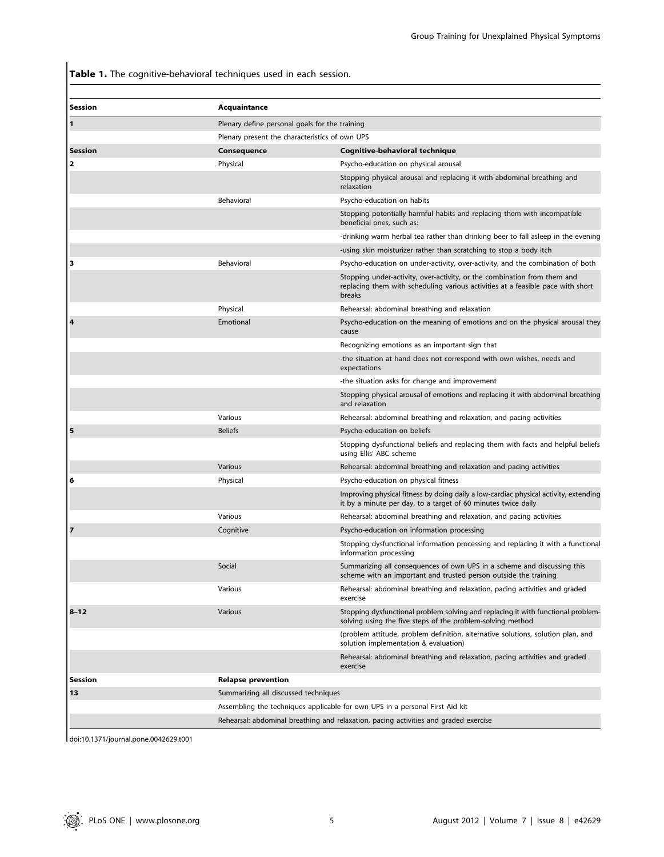Table 1. The cognitive-behavioral techniques used in each session.

| <b>Session</b> | Acquaintance                                   |                                                                                                                                                                       |
|----------------|------------------------------------------------|-----------------------------------------------------------------------------------------------------------------------------------------------------------------------|
| 1              | Plenary define personal goals for the training |                                                                                                                                                                       |
|                | Plenary present the characteristics of own UPS |                                                                                                                                                                       |
| <b>Session</b> | Consequence                                    | Cognitive-behavioral technique                                                                                                                                        |
| 2              | Physical                                       | Psycho-education on physical arousal                                                                                                                                  |
|                |                                                | Stopping physical arousal and replacing it with abdominal breathing and<br>relaxation                                                                                 |
|                | Behavioral                                     | Psycho-education on habits                                                                                                                                            |
|                |                                                | Stopping potentially harmful habits and replacing them with incompatible<br>beneficial ones, such as:                                                                 |
|                |                                                | -drinking warm herbal tea rather than drinking beer to fall asleep in the evening                                                                                     |
|                |                                                | -using skin moisturizer rather than scratching to stop a body itch                                                                                                    |
| з              | Behavioral                                     | Psycho-education on under-activity, over-activity, and the combination of both                                                                                        |
|                |                                                | Stopping under-activity, over-activity, or the combination from them and<br>replacing them with scheduling various activities at a feasible pace with short<br>breaks |
|                | Physical                                       | Rehearsal: abdominal breathing and relaxation                                                                                                                         |
|                | Emotional                                      | Psycho-education on the meaning of emotions and on the physical arousal they<br>cause                                                                                 |
|                |                                                | Recognizing emotions as an important sign that                                                                                                                        |
|                |                                                | -the situation at hand does not correspond with own wishes, needs and<br>expectations                                                                                 |
|                |                                                | -the situation asks for change and improvement                                                                                                                        |
|                |                                                | Stopping physical arousal of emotions and replacing it with abdominal breathing<br>and relaxation                                                                     |
|                | Various                                        | Rehearsal: abdominal breathing and relaxation, and pacing activities                                                                                                  |
| 5              | <b>Beliefs</b>                                 | Psycho-education on beliefs                                                                                                                                           |
|                |                                                | Stopping dysfunctional beliefs and replacing them with facts and helpful beliefs<br>using Ellis' ABC scheme                                                           |
|                | Various                                        | Rehearsal: abdominal breathing and relaxation and pacing activities                                                                                                   |
| 6              | Physical                                       | Psycho-education on physical fitness                                                                                                                                  |
|                |                                                | Improving physical fitness by doing daily a low-cardiac physical activity, extending<br>it by a minute per day, to a target of 60 minutes twice daily                 |
|                | Various                                        | Rehearsal: abdominal breathing and relaxation, and pacing activities                                                                                                  |
| 7              | Cognitive                                      | Psycho-education on information processing                                                                                                                            |
|                |                                                | Stopping dysfunctional information processing and replacing it with a functional<br>information processing                                                            |
|                | Social                                         | Summarizing all consequences of own UPS in a scheme and discussing this<br>scheme with an important and trusted person outside the training                           |
|                | Various                                        | Rehearsal: abdominal breathing and relaxation, pacing activities and graded<br>exercise                                                                               |
| $8 - 12$       | Various                                        | Stopping dysfunctional problem solving and replacing it with functional problem-<br>solving using the five steps of the problem-solving method                        |
|                |                                                | (problem attitude, problem definition, alternative solutions, solution plan, and<br>solution implementation & evaluation)                                             |
|                |                                                | Rehearsal: abdominal breathing and relaxation, pacing activities and graded<br>exercise                                                                               |
| <b>Session</b> | <b>Relapse prevention</b>                      |                                                                                                                                                                       |
| 13             | Summarizing all discussed techniques           |                                                                                                                                                                       |
|                |                                                | Assembling the techniques applicable for own UPS in a personal First Aid kit                                                                                          |
|                |                                                | Rehearsal: abdominal breathing and relaxation, pacing activities and graded exercise                                                                                  |

doi:10.1371/journal.pone.0042629.t001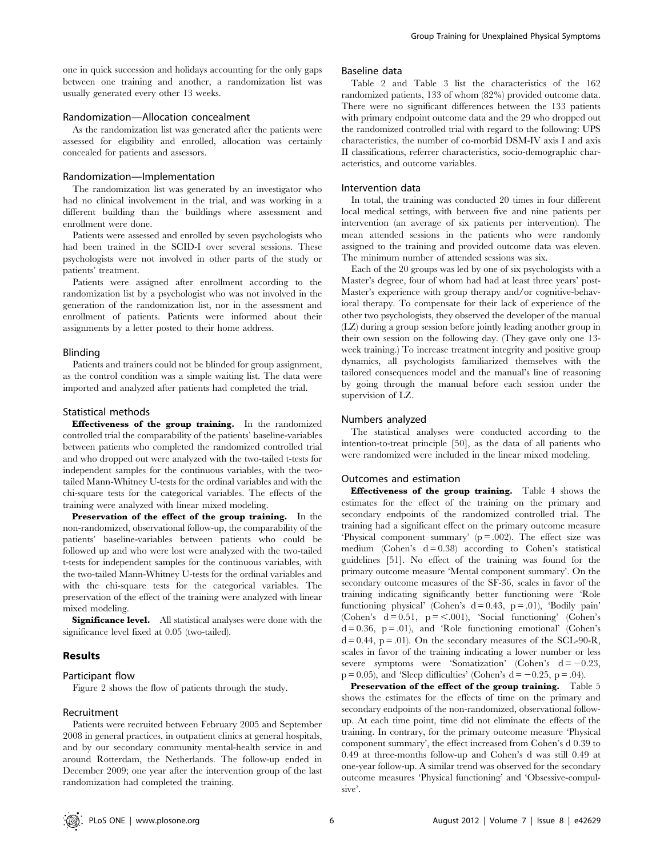one in quick succession and holidays accounting for the only gaps between one training and another, a randomization list was usually generated every other 13 weeks.

# Randomization—Allocation concealment

As the randomization list was generated after the patients were assessed for eligibility and enrolled, allocation was certainly concealed for patients and assessors.

# Randomization—Implementation

The randomization list was generated by an investigator who had no clinical involvement in the trial, and was working in a different building than the buildings where assessment and enrollment were done.

Patients were assessed and enrolled by seven psychologists who had been trained in the SCID-I over several sessions. These psychologists were not involved in other parts of the study or patients' treatment.

Patients were assigned after enrollment according to the randomization list by a psychologist who was not involved in the generation of the randomization list, nor in the assessment and enrollment of patients. Patients were informed about their assignments by a letter posted to their home address.

#### Blinding

Patients and trainers could not be blinded for group assignment, as the control condition was a simple waiting list. The data were imported and analyzed after patients had completed the trial.

# Statistical methods

Effectiveness of the group training. In the randomized controlled trial the comparability of the patients' baseline-variables between patients who completed the randomized controlled trial and who dropped out were analyzed with the two-tailed t-tests for independent samples for the continuous variables, with the twotailed Mann-Whitney U-tests for the ordinal variables and with the chi-square tests for the categorical variables. The effects of the training were analyzed with linear mixed modeling.

Preservation of the effect of the group training. In the non-randomized, observational follow-up, the comparability of the patients' baseline-variables between patients who could be followed up and who were lost were analyzed with the two-tailed t-tests for independent samples for the continuous variables, with the two-tailed Mann-Whitney U-tests for the ordinal variables and with the chi-square tests for the categorical variables. The preservation of the effect of the training were analyzed with linear mixed modeling.

Significance level. All statistical analyses were done with the significance level fixed at 0.05 (two-tailed).

# Results

#### Participant flow

Figure 2 shows the flow of patients through the study.

#### Recruitment

Patients were recruited between February 2005 and September 2008 in general practices, in outpatient clinics at general hospitals, and by our secondary community mental-health service in and around Rotterdam, the Netherlands. The follow-up ended in December 2009; one year after the intervention group of the last randomization had completed the training.

#### Baseline data

Table 2 and Table 3 list the characteristics of the 162 randomized patients, 133 of whom (82%) provided outcome data. There were no significant differences between the 133 patients with primary endpoint outcome data and the 29 who dropped out the randomized controlled trial with regard to the following: UPS characteristics, the number of co-morbid DSM-IV axis I and axis II classifications, referrer characteristics, socio-demographic characteristics, and outcome variables.

# Intervention data

In total, the training was conducted 20 times in four different local medical settings, with between five and nine patients per intervention (an average of six patients per intervention). The mean attended sessions in the patients who were randomly assigned to the training and provided outcome data was eleven. The minimum number of attended sessions was six.

Each of the 20 groups was led by one of six psychologists with a Master's degree, four of whom had had at least three years' post-Master's experience with group therapy and/or cognitive-behavioral therapy. To compensate for their lack of experience of the other two psychologists, they observed the developer of the manual (LZ) during a group session before jointly leading another group in their own session on the following day. (They gave only one 13 week training.) To increase treatment integrity and positive group dynamics, all psychologists familiarized themselves with the tailored consequences model and the manual's line of reasoning by going through the manual before each session under the supervision of LZ.

# Numbers analyzed

The statistical analyses were conducted according to the intention-to-treat principle [50], as the data of all patients who were randomized were included in the linear mixed modeling.

#### Outcomes and estimation

Effectiveness of the group training. Table 4 shows the estimates for the effect of the training on the primary and secondary endpoints of the randomized controlled trial. The training had a significant effect on the primary outcome measure 'Physical component summary' (p = .002). The effect size was medium (Cohen's  $d = 0.38$ ) according to Cohen's statistical guidelines [51]. No effect of the training was found for the primary outcome measure 'Mental component summary'. On the secondary outcome measures of the SF-36, scales in favor of the training indicating significantly better functioning were 'Role functioning physical' (Cohen's  $d = 0.43$ ,  $p = .01$ ), 'Bodily pain' (Cohen's  $d = 0.51$ ,  $p = <.001$ ), 'Social functioning' (Cohen's  $d = 0.36$ ,  $p = .01$ ), and 'Role functioning emotional' (Cohen's  $d = 0.44$ ,  $p = .01$ ). On the secondary measures of the SCL-90-R, scales in favor of the training indicating a lower number or less severe symptoms were 'Somatization' (Cohen's  $d = -0.23$ ,  $p = 0.05$ ), and 'Sleep difficulties' (Cohen's  $d = -0.25$ ,  $p = .04$ ).

Preservation of the effect of the group training. Table 5 shows the estimates for the effects of time on the primary and secondary endpoints of the non-randomized, observational followup. At each time point, time did not eliminate the effects of the training. In contrary, for the primary outcome measure 'Physical component summary', the effect increased from Cohen's d 0.39 to 0.49 at three-months follow-up and Cohen's d was still 0.49 at one-year follow-up. A similar trend was observed for the secondary outcome measures 'Physical functioning' and 'Obsessive-compulsive'.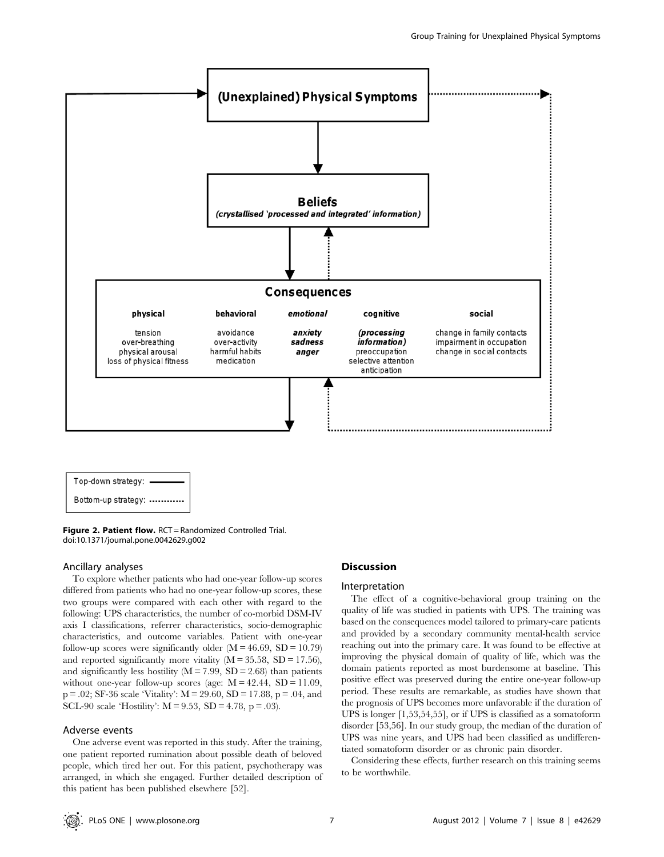

Top-down strategy: . Bottom-up strategy: ............

Figure 2. Patient flow. RCT = Randomized Controlled Trial. doi:10.1371/journal.pone.0042629.g002

#### Ancillary analyses

To explore whether patients who had one-year follow-up scores differed from patients who had no one-year follow-up scores, these two groups were compared with each other with regard to the following: UPS characteristics, the number of co-morbid DSM-IV axis I classifications, referrer characteristics, socio-demographic characteristics, and outcome variables. Patient with one-year follow-up scores were significantly older  $(M = 46.69, SD = 10.79)$ and reported significantly more vitality  $(M = 35.58, SD = 17.56)$ , and significantly less hostility  $(M = 7.99, SD = 2.68)$  than patients without one-year follow-up scores (age:  $M = 42.44$ ,  $SD = 11.09$ ,  $p = .02$ ; SF-36 scale 'Vitality': M = 29.60, SD = 17.88,  $p = .04$ , and SCL-90 scale 'Hostility':  $M = 9.53$ , SD = 4.78, p = .03).

#### Adverse events

One adverse event was reported in this study. After the training, one patient reported rumination about possible death of beloved people, which tired her out. For this patient, psychotherapy was arranged, in which she engaged. Further detailed description of this patient has been published elsewhere [52].

# Discussion

#### Interpretation

The effect of a cognitive-behavioral group training on the quality of life was studied in patients with UPS. The training was based on the consequences model tailored to primary-care patients and provided by a secondary community mental-health service reaching out into the primary care. It was found to be effective at improving the physical domain of quality of life, which was the domain patients reported as most burdensome at baseline. This positive effect was preserved during the entire one-year follow-up period. These results are remarkable, as studies have shown that the prognosis of UPS becomes more unfavorable if the duration of UPS is longer [1,53,54,55], or if UPS is classified as a somatoform disorder [53,56]. In our study group, the median of the duration of UPS was nine years, and UPS had been classified as undifferentiated somatoform disorder or as chronic pain disorder.

Considering these effects, further research on this training seems to be worthwhile.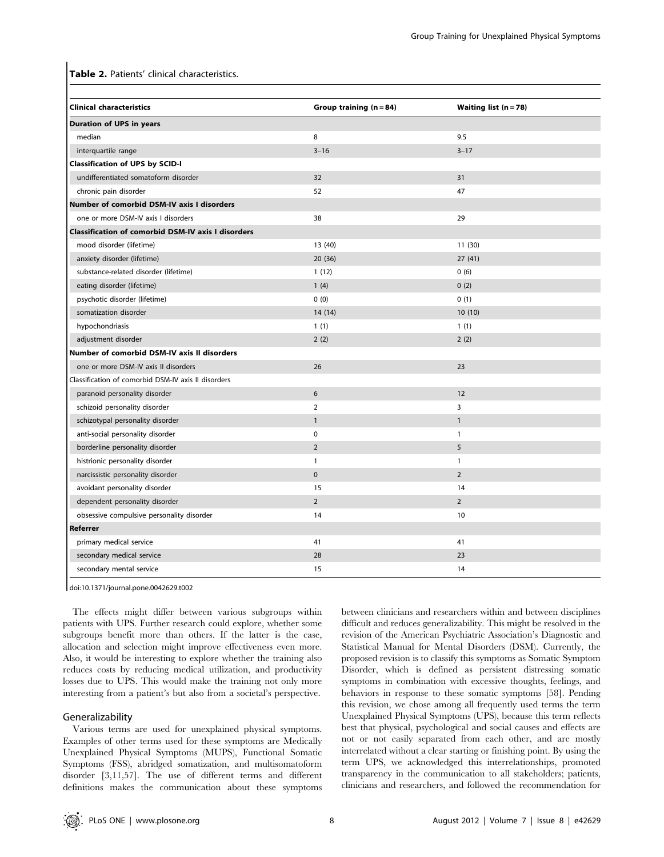# Table 2. Patients' clinical characteristics.

| <b>Clinical characteristics</b>                           | Group training $(n=84)$ | Waiting list $(n = 78)$ |
|-----------------------------------------------------------|-------------------------|-------------------------|
| Duration of UPS in years                                  |                         |                         |
| median                                                    | 8                       | 9.5                     |
| interquartile range                                       | $3 - 16$                | $3 - 17$                |
| <b>Classification of UPS by SCID-I</b>                    |                         |                         |
| undifferentiated somatoform disorder                      | 32                      | 31                      |
| chronic pain disorder                                     | 52                      | 47                      |
| Number of comorbid DSM-IV axis I disorders                |                         |                         |
| one or more DSM-IV axis I disorders                       | 38                      | 29                      |
| <b>Classification of comorbid DSM-IV axis I disorders</b> |                         |                         |
| mood disorder (lifetime)                                  | 13 (40)                 | 11 (30)                 |
| anxiety disorder (lifetime)                               | 20(36)                  | 27(41)                  |
| substance-related disorder (lifetime)                     | 1(12)                   | 0(6)                    |
| eating disorder (lifetime)                                | 1(4)                    | 0(2)                    |
| psychotic disorder (lifetime)                             | 0(0)                    | 0(1)                    |
| somatization disorder                                     | 14(14)                  | 10(10)                  |
| hypochondriasis                                           | 1(1)                    | 1(1)                    |
| adjustment disorder                                       | 2(2)                    | 2(2)                    |
| Number of comorbid DSM-IV axis II disorders               |                         |                         |
| one or more DSM-IV axis II disorders                      | 26                      | 23                      |
| Classification of comorbid DSM-IV axis II disorders       |                         |                         |
| paranoid personality disorder                             | 6                       | 12                      |
| schizoid personality disorder                             | $\overline{2}$          | 3                       |
| schizotypal personality disorder                          | $\mathbf{1}$            | $\mathbf{1}$            |
| anti-social personality disorder                          | $\mathbf 0$             | $\mathbf{1}$            |
| borderline personality disorder                           | $\overline{2}$          | 5                       |
| histrionic personality disorder                           | $\mathbf{1}$            | $\mathbf{1}$            |
| narcissistic personality disorder                         | $\mathbf 0$             | $\overline{2}$          |
| avoidant personality disorder                             | 15                      | 14                      |
| dependent personality disorder                            | $\overline{2}$          | $\overline{2}$          |
| obsessive compulsive personality disorder                 | 14                      | 10                      |
| Referrer                                                  |                         |                         |
| primary medical service                                   | 41                      | 41                      |
| secondary medical service                                 | 28                      | 23                      |
| secondary mental service                                  | 15                      | 14                      |

doi:10.1371/journal.pone.0042629.t002

The effects might differ between various subgroups within patients with UPS. Further research could explore, whether some subgroups benefit more than others. If the latter is the case, allocation and selection might improve effectiveness even more. Also, it would be interesting to explore whether the training also reduces costs by reducing medical utilization, and productivity losses due to UPS. This would make the training not only more interesting from a patient's but also from a societal's perspective.

# Generalizability

Various terms are used for unexplained physical symptoms. Examples of other terms used for these symptoms are Medically Unexplained Physical Symptoms (MUPS), Functional Somatic Symptoms (FSS), abridged somatization, and multisomatoform disorder [3,11,57]. The use of different terms and different definitions makes the communication about these symptoms between clinicians and researchers within and between disciplines difficult and reduces generalizability. This might be resolved in the revision of the American Psychiatric Association's Diagnostic and Statistical Manual for Mental Disorders (DSM). Currently, the proposed revision is to classify this symptoms as Somatic Symptom Disorder, which is defined as persistent distressing somatic symptoms in combination with excessive thoughts, feelings, and behaviors in response to these somatic symptoms [58]. Pending this revision, we chose among all frequently used terms the term Unexplained Physical Symptoms (UPS), because this term reflects best that physical, psychological and social causes and effects are not or not easily separated from each other, and are mostly interrelated without a clear starting or finishing point. By using the term UPS, we acknowledged this interrelationships, promoted transparency in the communication to all stakeholders; patients, clinicians and researchers, and followed the recommendation for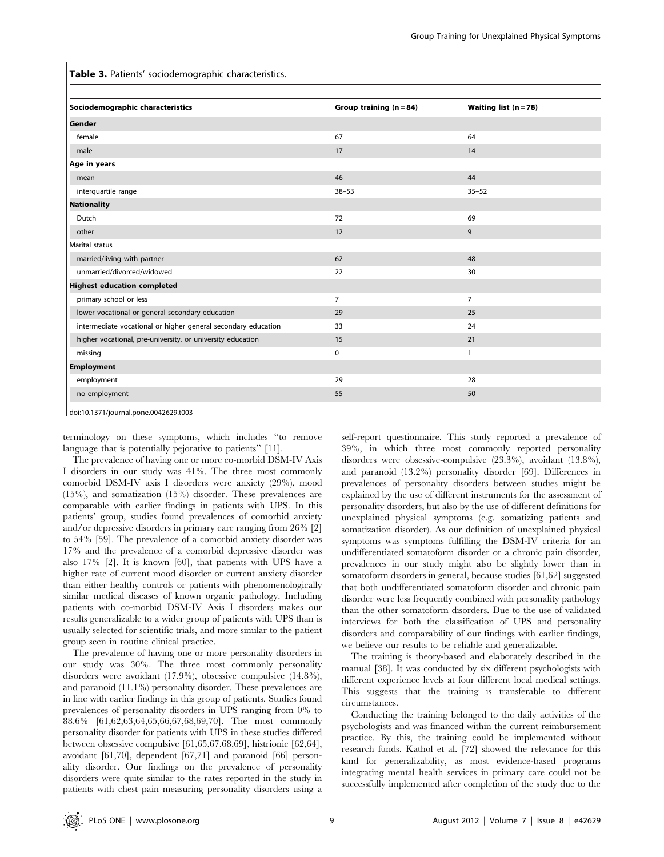Table 3. Patients' sociodemographic characteristics.

| Sociodemographic characteristics                              | Group training $(n = 84)$ | Waiting list $(n = 78)$ |
|---------------------------------------------------------------|---------------------------|-------------------------|
| Gender                                                        |                           |                         |
| female                                                        | 67                        | 64                      |
| male                                                          | 17                        | 14                      |
| Age in years                                                  |                           |                         |
| mean                                                          | 46                        | 44                      |
| interquartile range                                           | $38 - 53$                 | $35 - 52$               |
| <b>Nationality</b>                                            |                           |                         |
| Dutch                                                         | 72                        | 69                      |
| other                                                         | 12                        | $\overline{9}$          |
| Marital status                                                |                           |                         |
| married/living with partner                                   | 62                        | 48                      |
| unmarried/divorced/widowed                                    | 22                        | 30                      |
| <b>Highest education completed</b>                            |                           |                         |
| primary school or less                                        | $\overline{7}$            | $\overline{7}$          |
| lower vocational or general secondary education               | 29                        | 25                      |
| intermediate vocational or higher general secondary education | 33                        | 24                      |
| higher vocational, pre-university, or university education    | 15                        | 21                      |
| missing                                                       | $\mathbf 0$               | 1                       |
| <b>Employment</b>                                             |                           |                         |
| employment                                                    | 29                        | 28                      |
| no employment                                                 | 55                        | 50                      |

doi:10.1371/journal.pone.0042629.t003

terminology on these symptoms, which includes ''to remove language that is potentially pejorative to patients'' [11].

The prevalence of having one or more co-morbid DSM-IV Axis I disorders in our study was 41%. The three most commonly comorbid DSM-IV axis I disorders were anxiety (29%), mood (15%), and somatization (15%) disorder. These prevalences are comparable with earlier findings in patients with UPS. In this patients' group, studies found prevalences of comorbid anxiety and/or depressive disorders in primary care ranging from 26% [2] to 54% [59]. The prevalence of a comorbid anxiety disorder was 17% and the prevalence of a comorbid depressive disorder was also 17% [2]. It is known [60], that patients with UPS have a higher rate of current mood disorder or current anxiety disorder than either healthy controls or patients with phenomenologically similar medical diseases of known organic pathology. Including patients with co-morbid DSM-IV Axis I disorders makes our results generalizable to a wider group of patients with UPS than is usually selected for scientific trials, and more similar to the patient group seen in routine clinical practice.

The prevalence of having one or more personality disorders in our study was 30%. The three most commonly personality disorders were avoidant (17.9%), obsessive compulsive (14.8%), and paranoid (11.1%) personality disorder. These prevalences are in line with earlier findings in this group of patients. Studies found prevalences of personality disorders in UPS ranging from 0% to 88.6% [61,62,63,64,65,66,67,68,69,70]. The most commonly personality disorder for patients with UPS in these studies differed between obsessive compulsive [61,65,67,68,69], histrionic [62,64], avoidant [61,70], dependent [67,71] and paranoid [66] personality disorder. Our findings on the prevalence of personality disorders were quite similar to the rates reported in the study in patients with chest pain measuring personality disorders using a

self-report questionnaire. This study reported a prevalence of 39%, in which three most commonly reported personality disorders were obsessive-compulsive (23.3%), avoidant (13.8%), and paranoid (13.2%) personality disorder [69]. Differences in prevalences of personality disorders between studies might be explained by the use of different instruments for the assessment of personality disorders, but also by the use of different definitions for unexplained physical symptoms (e.g. somatizing patients and somatization disorder). As our definition of unexplained physical symptoms was symptoms fulfilling the DSM-IV criteria for an undifferentiated somatoform disorder or a chronic pain disorder, prevalences in our study might also be slightly lower than in somatoform disorders in general, because studies [61,62] suggested that both undifferentiated somatoform disorder and chronic pain disorder were less frequently combined with personality pathology than the other somatoform disorders. Due to the use of validated interviews for both the classification of UPS and personality disorders and comparability of our findings with earlier findings, we believe our results to be reliable and generalizable.

The training is theory-based and elaborately described in the manual [38]. It was conducted by six different psychologists with different experience levels at four different local medical settings. This suggests that the training is transferable to different circumstances.

Conducting the training belonged to the daily activities of the psychologists and was financed within the current reimbursement practice. By this, the training could be implemented without research funds. Kathol et al. [72] showed the relevance for this kind for generalizability, as most evidence-based programs integrating mental health services in primary care could not be successfully implemented after completion of the study due to the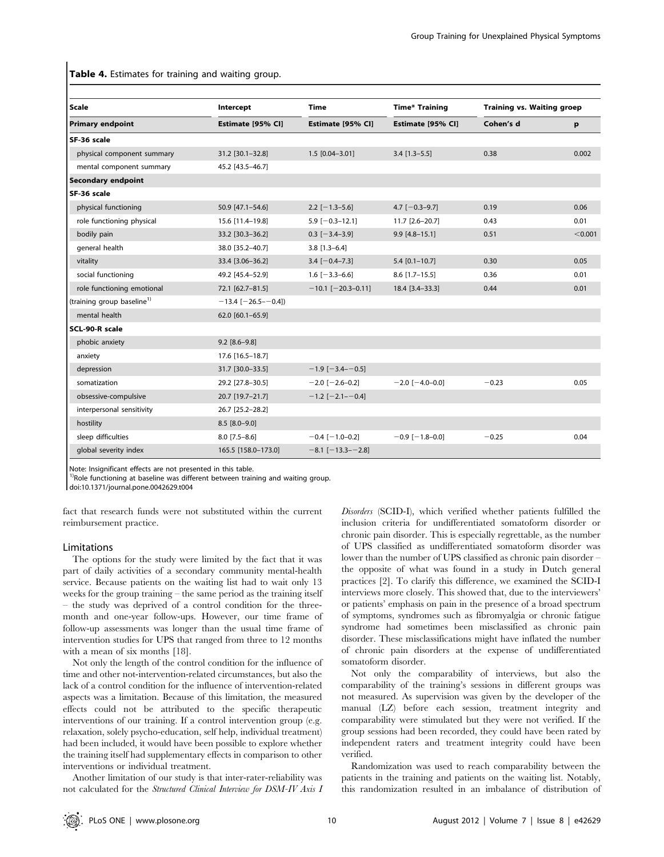Table 4. Estimates for training and waiting group.

| <b>Scale</b>                           | Intercept                     | Time                        | <b>Time* Training</b> | <b>Training vs. Waiting groep</b> |         |
|----------------------------------------|-------------------------------|-----------------------------|-----------------------|-----------------------------------|---------|
| <b>Primary endpoint</b>                | Estimate [95% CI]             | Estimate [95% CI]           | Estimate [95% CI]     | Cohen's d                         | p       |
| SF-36 scale                            |                               |                             |                       |                                   |         |
| physical component summary             | 31.2 [30.1-32.8]              | $1.5$ [0.04-3.01]           | $3.4$ [1.3-5.5]       | 0.38                              | 0.002   |
| mental component summary               | 45.2 [43.5-46.7]              |                             |                       |                                   |         |
| <b>Secondary endpoint</b>              |                               |                             |                       |                                   |         |
| SF-36 scale                            |                               |                             |                       |                                   |         |
| physical functioning                   | 50.9 [47.1-54.6]              | $2.2$ [-1.3-5.6]            | 4.7 $[-0.3 - 9.7]$    | 0.19                              | 0.06    |
| role functioning physical              | 15.6 [11.4-19.8]              | $5.9$ [-0.3-12.1]           | 11.7 [2.6-20.7]       | 0.43                              | 0.01    |
| bodily pain                            | 33.2 [30.3-36.2]              | $0.3$ [-3.4-3.9]            | $9.9$ [4.8-15.1]      | 0.51                              | < 0.001 |
| general health                         | 38.0 [35.2-40.7]              | $3.8$ [1.3-6.4]             |                       |                                   |         |
| vitality                               | 33.4 [3.06-36.2]              | $3.4$ [-0.4-7.3]            | $5.4$ [0.1-10.7]      | 0.30                              | 0.05    |
| social functioning                     | 49.2 [45.4-52.9]              | $1.6$ [-3.3-6.6]            | $8.6$ [1.7-15.5]      | 0.36                              | 0.01    |
| role functioning emotional             | 72.1 [62.7-81.5]              | $-10.1$ [-20.3-0.11]        | 18.4 [3.4-33.3]       | 0.44                              | 0.01    |
| (training group baseline <sup>1)</sup> | $-13.4$ [ $-26.5$ - $-0.4$ ]) |                             |                       |                                   |         |
| mental health                          | 62.0 [60.1-65.9]              |                             |                       |                                   |         |
| SCL-90-R scale                         |                               |                             |                       |                                   |         |
| phobic anxiety                         | $9.2$ [8.6-9.8]               |                             |                       |                                   |         |
| anxiety                                | 17.6 [16.5-18.7]              |                             |                       |                                   |         |
| depression                             | 31.7 [30.0-33.5]              | $-1.9$ [ $-3.4$ - $-0.5$ ]  |                       |                                   |         |
| somatization                           | 29.2 [27.8-30.5]              | $-2.0$ [ $-2.6-0.2$ ]       | $-2.0$ [ $-4.0-0.0$ ] | $-0.23$                           | 0.05    |
| obsessive-compulsive                   | 20.7 [19.7-21.7]              | $-1.2$ [ $-2.1$ - $-0.4$ ]  |                       |                                   |         |
| interpersonal sensitivity              | 26.7 [25.2-28.2]              |                             |                       |                                   |         |
| hostility                              | $8.5$ [ $8.0 - 9.0$ ]         |                             |                       |                                   |         |
| sleep difficulties                     | $8.0$ [7.5-8.6]               | $-0.4$ [ $-1.0-0.2$ ]       | $-0.9$ [ $-1.8-0.0$ ] | $-0.25$                           | 0.04    |
| global severity index                  | 165.5 [158.0-173.0]           | $-8.1$ [ $-13.3$ - $-2.8$ ] |                       |                                   |         |

Note: Insignificant effects are not presented in this table.

<sup>1)</sup>Role functioning at baseline was different between training and waiting group.

doi:10.1371/journal.pone.0042629.t004

fact that research funds were not substituted within the current reimbursement practice.

#### Limitations

The options for the study were limited by the fact that it was part of daily activities of a secondary community mental-health service. Because patients on the waiting list had to wait only 13 weeks for the group training – the same period as the training itself – the study was deprived of a control condition for the threemonth and one-year follow-ups. However, our time frame of follow-up assessments was longer than the usual time frame of intervention studies for UPS that ranged from three to 12 months with a mean of six months [18].

Not only the length of the control condition for the influence of time and other not-intervention-related circumstances, but also the lack of a control condition for the influence of intervention-related aspects was a limitation. Because of this limitation, the measured effects could not be attributed to the specific therapeutic interventions of our training. If a control intervention group (e.g. relaxation, solely psycho-education, self help, individual treatment) had been included, it would have been possible to explore whether the training itself had supplementary effects in comparison to other interventions or individual treatment.

Another limitation of our study is that inter-rater-reliability was not calculated for the Structured Clinical Interview for DSM-IV Axis I Disorders (SCID-I), which verified whether patients fulfilled the inclusion criteria for undifferentiated somatoform disorder or chronic pain disorder. This is especially regrettable, as the number of UPS classified as undifferentiated somatoform disorder was lower than the number of UPS classified as chronic pain disorder – the opposite of what was found in a study in Dutch general practices [2]. To clarify this difference, we examined the SCID-I interviews more closely. This showed that, due to the interviewers' or patients' emphasis on pain in the presence of a broad spectrum of symptoms, syndromes such as fibromyalgia or chronic fatigue syndrome had sometimes been misclassified as chronic pain disorder. These misclassifications might have inflated the number of chronic pain disorders at the expense of undifferentiated somatoform disorder.

Not only the comparability of interviews, but also the comparability of the training's sessions in different groups was not measured. As supervision was given by the developer of the manual (LZ) before each session, treatment integrity and comparability were stimulated but they were not verified. If the group sessions had been recorded, they could have been rated by independent raters and treatment integrity could have been verified.

Randomization was used to reach comparability between the patients in the training and patients on the waiting list. Notably, this randomization resulted in an imbalance of distribution of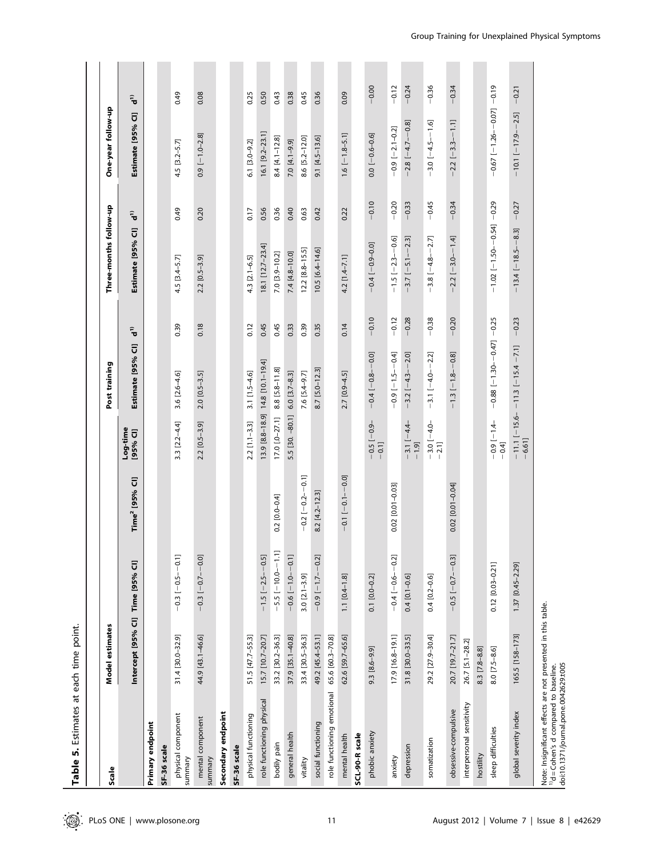| Scale                                                                                                                                                       | Model estimates  |                                                      |                            |                             | Post training                   |                    | Three-months follow-up              |                      | One-year follow-up      |                          |
|-------------------------------------------------------------------------------------------------------------------------------------------------------------|------------------|------------------------------------------------------|----------------------------|-----------------------------|---------------------------------|--------------------|-------------------------------------|----------------------|-------------------------|--------------------------|
|                                                                                                                                                             | Intercept [95%   | $\overline{a}$<br><b>Time</b> [95%<br>$\overline{5}$ | Time <sup>2</sup> [95% Cl] | Log-time<br>[95% CI]        | $\overline{a}$<br>Estimate [95% | $\hat{\mathbf{r}}$ | $\overline{5}$<br>Estimate [95%     | $\tilde{\mathbf{r}}$ | J<br>Estimate [95%      | $\tilde{t}_{\texttt{d}}$ |
| Primary endpoint                                                                                                                                            |                  |                                                      |                            |                             |                                 |                    |                                     |                      |                         |                          |
| SF-36 scale                                                                                                                                                 |                  |                                                      |                            |                             |                                 |                    |                                     |                      |                         |                          |
| physical component<br>summary                                                                                                                               | 31.4 [30.0-32.9] | $-0.3[-0.5 - -0.1]$                                  |                            | 3.3 [2.2-4.4]               | $3.6$ [2.6-4.6]                 | 0.39               | 4.5 [3.4-5.7]                       | 0.49                 | $4.5$ [3.2-5.7]         | 0.49                     |
| mental component<br>summary                                                                                                                                 | 44.9 [43.1-46.6] | $-0.3[-0.7 - 0.0]$                                   |                            | 2.2 [0.5-3.9]               | $2.0$ [0.5-3.5]                 | 0.18               | 2.2 [0.5-3.9]                       | 0.20                 | $0.9[-1.0 - 2.8]$       | 0.08                     |
| Secondary endpoint                                                                                                                                          |                  |                                                      |                            |                             |                                 |                    |                                     |                      |                         |                          |
| SF-36 scale                                                                                                                                                 |                  |                                                      |                            |                             |                                 |                    |                                     |                      |                         |                          |
| physical functioning                                                                                                                                        | 51.5 [47.7-55.3] |                                                      |                            | $2.2$ [1.1-3.3]             | $3.1$ [1.5-4.6]                 | 0.12               | 43 [2.1-6.5]                        | 0.17                 | $6.1$ [3.0-9.2]         | 0.25                     |
| role functioning physical                                                                                                                                   | 15.7 [10.7-20.7] | $-1.5[-2.5 - -0.5]$                                  |                            | 13.9 [8.8-18.9]             | 14.8 [10.1-19.4]                | 0.45               | 18.1 [12.7-23.4]                    | 0.56                 | 16.1 [9.2-23.1]         | 0.50                     |
| bodily pain                                                                                                                                                 | 33.2 [30.2-36.3] | $-5.5[-10.0 - 1.1]$                                  | $0.2$ [0.0-0.4]            | $17.0$ [.0-27.1]            | 8.8 [5.8-11.8]                  | 0.45               | 7.0 [3.9-10.2]                      | 0.36                 | 8.4 [4.1-12.8]          | 0.43                     |
| general health                                                                                                                                              | 37.9 [35.1-40.8] | $-0.6[-1.0 - -0.1]$                                  |                            | 5.5 [30. -80.1]             | $6.0$ [3.7-8.3]                 | 0.33               | 7.4 [4.8-10.0]                      | 0.40                 | $7.0 [4.1 - 9.9]$       | 0.38                     |
| vitality                                                                                                                                                    | 33.4 [30.5-36.3] | $3.0$ [ $2.1 - 3.9$ ]                                | $-0.2[-0.2 - 0.1]$         |                             | 7.6 [5.4-9.7]                   | 0.39               | $12.2 [8.8 - 15.5]$                 | 0.63                 | 8.6 [5.2-12.0]          | 0.45                     |
| social functioning                                                                                                                                          | 49.2 [45.4-53.1] | $-0.9[-1.7 - 0.2]$                                   | 8.2 [4.2-12.3]             |                             | 8.7 [5.0-12.3]                  | 0.35               | 10.5 [6.4-14.6]                     | 0.42                 | $9.1 [4.5 - 13.6]$      | 0.36                     |
| role functioning emotional                                                                                                                                  | 65.6 [60.3-70.8] |                                                      |                            |                             |                                 |                    |                                     |                      |                         |                          |
| mental health                                                                                                                                               | 62.6 [59.7-65.6] | $1.1$ [0.4-1.8]                                      | $-0.1[-0.1 - 0.0]$         |                             | $2.7$ [0.9-4.5]                 | 0.14               | 4.2 [1.4-7.1]                       | 0.22                 | $1.6[-1.8 - 5.1]$       | 0.09                     |
| SCL-90-R scale                                                                                                                                              |                  |                                                      |                            |                             |                                 |                    |                                     |                      |                         |                          |
| phobic anxiety                                                                                                                                              | 9.3 [8.6-9.9]    | $0.1$ [0.0-0.2]                                      |                            | $-0.5$ [ $-0.9$<br>$-0.1$ ] | $[-0.4[-0.8--0.0]$              | $-0.10$            | $-0.4[-0.9 - 0.0]$                  | $-0.10$              | $0.0$ [-0.6-0.6]        | $-0.00$                  |
| anxiety                                                                                                                                                     | 17.9 [16.8-19.1] | $-0.4[-0.6 - -0.2]$                                  | 0.02 [0.01-0.03]           |                             | $-0.9[-1.5 - 0.4]$              | $-0.12$            | $-1.5[-2.3 - -0.6]$                 | $-0.20$              | $-0.9$ [ $-2.1 - 0.2$ ] | $-0.12$                  |
| depression                                                                                                                                                  | 31.8 [30.0-33.5] | $0.4$ [0.1-0.6]                                      |                            | $-3.1[-4.4-$<br>$-1.9$      | $-3.2[-4.3 - -2.0]$             | $-0.28$            | $-3.7[-5.1--2.3]$                   | $-0.33$              | $-2.8[-4.7 - 0.8]$      | $-0.24$                  |
| somatization                                                                                                                                                | 29.2 [27.9-30.4] | $0.4$ [0.2-0.6]                                      |                            | $-3.0[-4.0-$<br>$-2.1$ ]    | $-3.1[-4.0 - 2.2]$              | $-0.38$            | 3.8 $[-4.8 - -2.7]$<br>$\mathsf{I}$ | $-0.45$              | $-3.0[-4.5 - -1.6]$     | $-0.36$                  |
| obsessive-compulsive                                                                                                                                        | 20.7 [19.7-21.7] | $-0.5[-0.7 - 0.3]$                                   | $0.02$ [0.01-0.04]         |                             | $-1.3[-1.8 - 0.8]$              | $-0.20$            | $2.2[-3.0 - 1.4]$                   | $-0.34$              | $-2.2[-3.3 - -1.1]$     | $-0.34$                  |
| interpersonal sensitivity                                                                                                                                   | 26.7 [5.1-28.2]  |                                                      |                            |                             |                                 |                    |                                     |                      |                         |                          |
| hostility                                                                                                                                                   | 8.3 [7.8-8.8]    |                                                      |                            |                             |                                 |                    |                                     |                      |                         |                          |
| sleep difficulties                                                                                                                                          | 8.0 [7.5-8.6]    | $0.12$ [0.03-0.21]                                   |                            | $-0.9$ [-1.4-<br>-0.4]      | $-0.88$ [-1.30--0.47]           | $-0.25$            | $-1.02$ [-1.50--0.54]               | $-0.29$              | $-0.67$ [-1.26--0.07]   | $-0.19$                  |
| global severity index                                                                                                                                       | 165.5 [158-173]  | 1.37 [0.45-2.29]                                     |                            | $-11.1[-15.6-$<br>$-6.61$ ] | $-11.3$ [ $-15.4 - 7.1$ ]       | $-0.23$            | $-13.4[-18.5-8.3]$                  | $-0.27$              | $-10.1[-17.9 - -2.5]$   | $-0.21$                  |
| Note: Insignificant effects are not presented in this table.<br><sup>1)</sup> d = Cohen's d compared to baseline.<br> doi:10.1371/journal.pone.0042629.t005 |                  |                                                      |                            |                             |                                 |                    |                                     |                      |                         |                          |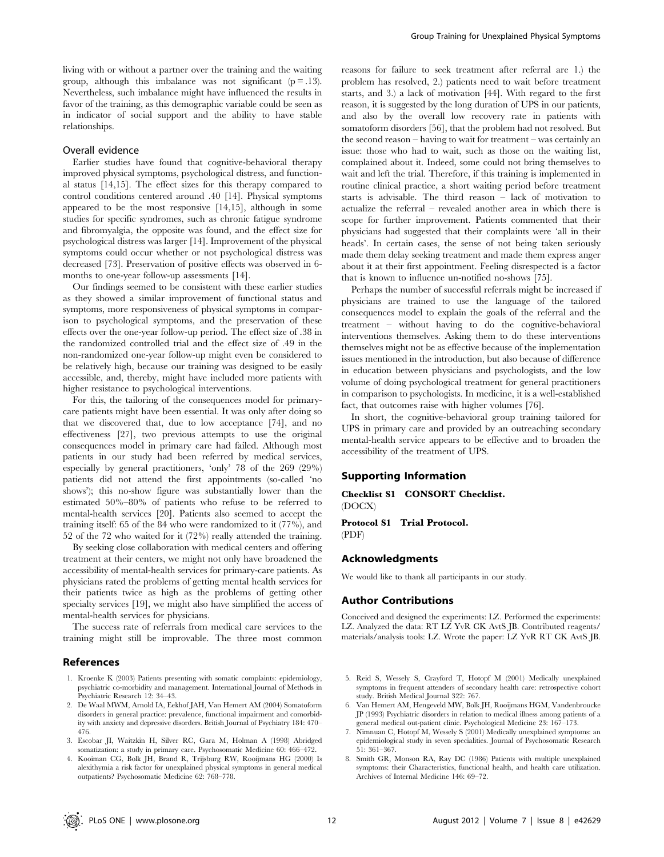living with or without a partner over the training and the waiting group, although this imbalance was not significant  $(p = .13)$ . Nevertheless, such imbalance might have influenced the results in favor of the training, as this demographic variable could be seen as in indicator of social support and the ability to have stable relationships.

#### Overall evidence

Earlier studies have found that cognitive-behavioral therapy improved physical symptoms, psychological distress, and functional status [14,15]. The effect sizes for this therapy compared to control conditions centered around .40 [14]. Physical symptoms appeared to be the most responsive [14,15], although in some studies for specific syndromes, such as chronic fatigue syndrome and fibromyalgia, the opposite was found, and the effect size for psychological distress was larger [14]. Improvement of the physical symptoms could occur whether or not psychological distress was decreased [73]. Preservation of positive effects was observed in 6 months to one-year follow-up assessments [14].

Our findings seemed to be consistent with these earlier studies as they showed a similar improvement of functional status and symptoms, more responsiveness of physical symptoms in comparison to psychological symptoms, and the preservation of these effects over the one-year follow-up period. The effect size of .38 in the randomized controlled trial and the effect size of .49 in the non-randomized one-year follow-up might even be considered to be relatively high, because our training was designed to be easily accessible, and, thereby, might have included more patients with higher resistance to psychological interventions.

For this, the tailoring of the consequences model for primarycare patients might have been essential. It was only after doing so that we discovered that, due to low acceptance [74], and no effectiveness [27], two previous attempts to use the original consequences model in primary care had failed. Although most patients in our study had been referred by medical services, especially by general practitioners, 'only' 78 of the 269 (29%) patients did not attend the first appointments (so-called 'no shows'); this no-show figure was substantially lower than the estimated 50%–80% of patients who refuse to be referred to mental-health services [20]. Patients also seemed to accept the training itself: 65 of the 84 who were randomized to it (77%), and 52 of the 72 who waited for it (72%) really attended the training.

By seeking close collaboration with medical centers and offering treatment at their centers, we might not only have broadened the accessibility of mental-health services for primary-care patients. As physicians rated the problems of getting mental health services for their patients twice as high as the problems of getting other specialty services [19], we might also have simplified the access of mental-health services for physicians.

The success rate of referrals from medical care services to the training might still be improvable. The three most common

# References

- 1. Kroenke K (2003) Patients presenting with somatic complaints: epidemiology, psychiatric co-morbidity and management. International Journal of Methods in Psychiatric Research 12: 34–43.
- 2. De Waal MWM, Arnold IA, Eekhof JAH, Van Hemert AM (2004) Somatoform disorders in general practice: prevalence, functional impairment and comorbidity with anxiety and depressive disorders. British Journal of Psychiatry 184: 470– 476.
- 3. Escobar JI, Waitzkin H, Silver RC, Gara M, Holman A (1998) Abridged somatization: a study in primary care. Psychosomatic Medicine 60: 466–472.
- 4. Kooiman CG, Bolk JH, Brand R, Trijsburg RW, Rooijmans HG (2000) Is alexithymia a risk factor for unexplained physical symptoms in general medical outpatients? Psychosomatic Medicine 62: 768–778.

reasons for failure to seek treatment after referral are 1.) the problem has resolved, 2.) patients need to wait before treatment starts, and 3.) a lack of motivation [44]. With regard to the first reason, it is suggested by the long duration of UPS in our patients, and also by the overall low recovery rate in patients with somatoform disorders [56], that the problem had not resolved. But the second reason – having to wait for treatment – was certainly an issue: those who had to wait, such as those on the waiting list, complained about it. Indeed, some could not bring themselves to wait and left the trial. Therefore, if this training is implemented in routine clinical practice, a short waiting period before treatment starts is advisable. The third reason – lack of motivation to actualize the referral – revealed another area in which there is scope for further improvement. Patients commented that their physicians had suggested that their complaints were 'all in their heads'. In certain cases, the sense of not being taken seriously made them delay seeking treatment and made them express anger about it at their first appointment. Feeling disrespected is a factor that is known to influence un-notified no-shows [75].

Perhaps the number of successful referrals might be increased if physicians are trained to use the language of the tailored consequences model to explain the goals of the referral and the treatment – without having to do the cognitive-behavioral interventions themselves. Asking them to do these interventions themselves might not be as effective because of the implementation issues mentioned in the introduction, but also because of difference in education between physicians and psychologists, and the low volume of doing psychological treatment for general practitioners in comparison to psychologists. In medicine, it is a well-established fact, that outcomes raise with higher volumes [76].

In short, the cognitive-behavioral group training tailored for UPS in primary care and provided by an outreaching secondary mental-health service appears to be effective and to broaden the accessibility of the treatment of UPS.

#### Supporting Information

Checklist S1 CONSORT Checklist. (DOCX)

Protocol S1 Trial Protocol. (PDF)

#### Acknowledgments

We would like to thank all participants in our study.

# Author Contributions

Conceived and designed the experiments: LZ. Performed the experiments: LZ. Analyzed the data: RT LZ YvR CK AvtS JB. Contributed reagents/ materials/analysis tools: LZ. Wrote the paper: LZ YvR RT CK AvtS JB.

- 5. Reid S, Wessely S, Crayford T, Hotopf M (2001) Medically unexplained symptoms in frequent attenders of secondary health care: retrospective cohort study. British Medical Journal 322: 767.
- 6. Van Hemert AM, Hengeveld MW, Bolk JH, Rooijmans HGM, Vandenbroucke JP (1993) Psychiatric disorders in relation to medical illness among patients of a general medical out-patient clinic. Psychological Medicine 23: 167–173.
- 7. Nimnuan C, Hotopf M, Wessely S (2001) Medically unexplained symptoms: an epidemiological study in seven specialities. Journal of Psychosomatic Research 51: 361–367.
- 8. Smith GR, Monson RA, Ray DC (1986) Patients with multiple unexplained symptoms: their Characteristics, functional health, and health care utilization. Archives of Internal Medicine 146: 69–72.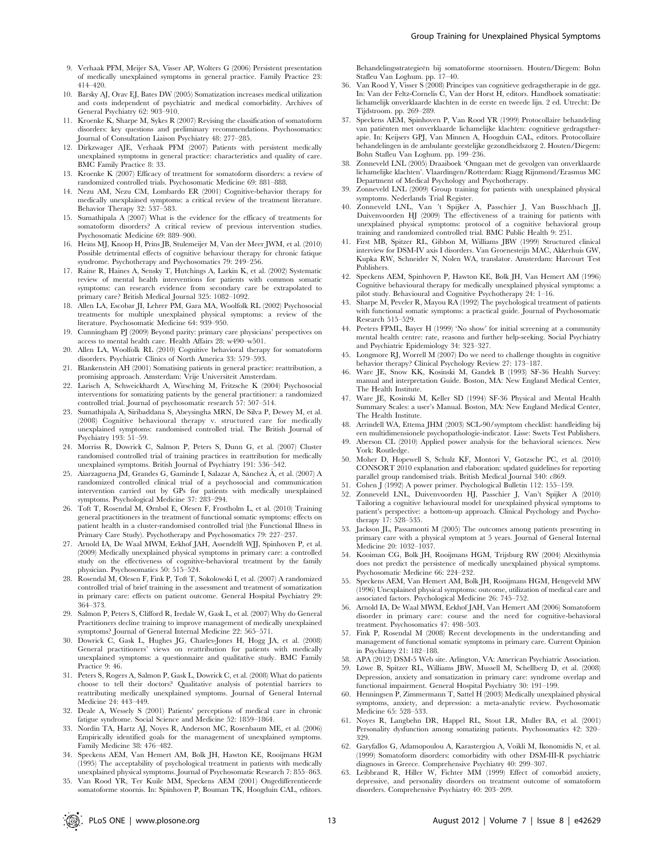- 9. Verhaak PFM, Meijer SA, Visser AP, Wolters G (2006) Persistent presentation of medically unexplained symptoms in general practice. Family Practice 23: 414–420.
- 10. Barsky AJ, Orav EJ, Bates DW (2005) Somatization increases medical utilization and costs independent of psychiatric and medical comorbidity. Archives of General Psychiatry 62: 903–910.
- 11. Kroenke K, Sharpe M, Sykes R (2007) Revising the classification of somatoform disorders: key questions and preliminary recommendations. Psychosomatics: Journal of Consultation Liaison Psychiatry 48: 277–285.
- 12. Dirkzwager AJE, Verhaak PFM (2007) Patients with persistent medically unexplained symptoms in general practice: characteristics and quality of care. BMC Family Practice 8: 33.
- 13. Kroenke K (2007) Efficacy of treatment for somatoform disorders: a review of randomized controlled trials. Psychosomatic Medicine 69: 881–888.
- 14. Nezu AM, Nezu CM, Lombardo ER (2001) Cognitive-behavior therapy for medically unexplained symptoms: a critical review of the treatment literature. Behavior Therapy 32: 537–583.
- 15. Sumathipala A (2007) What is the evidence for the efficacy of treatments for somatoform disorders? A critical review of previous intervention studies. Psychosomatic Medicine 69: 889–900.
- 16. Heins MJ, Knoop H, Prins JB, Stulemeijer M, Van der Meer JWM, et al. (2010) Possible detrimental effects of cognitive behaviour therapy for chronic fatique syndrome. Psychotherapy and Psychosomatics 79: 249–256.
- 17. Raine R, Haines A, Sensky T, Hutchings A, Larkin K, et al. (2002) Systematic review of mental health interventions for patients with common somatic symptoms: can research evidence from secondary care be extrapolated to primary care? British Medical Journal 325: 1082–1092.
- 18. Allen LA, Escobar JI, Lehrer PM, Gara MA, Woolfolk RL (2002) Psychosocial treatments for multiple unexplained physical symptoms: a review of the literature. Psychosomatic Medicine 64: 939–950.
- 19. Cunningham PJ (2009) Beyond parity: primary care physicians' perspectives on access to mental health care. Health Affairs 28: w490–w501.
- 20. Allen LA, Woolfolk RL (2010) Cognitive behavioral therapy for somatoform disorders. Psychiatric Clinics of North America 33: 579–593.
- 21. Blankenstein AH (2001) Somatising patients in general practice: reattribution, a promising approach. Amsterdam: Vrije Universiteit Amsterdam.
- 22. Larisch A, Schweickhardt A, Wirsching M, Fritzsche K (2004) Psychosocial interventions for somatizing patients by the general practitioner: a randomized controlled trial. Journal of psychosomatic research 57: 507–514.
- 23. Sumathipala A, Siribaddana S, Abeysingha MRN, De Silva P, Dewey M, et al. (2008) Cognitive behavioural therapy v. structured care for medically unexplained symptoms: randomised controlled trial. The British Journal of Psychiatry 193: 51–59.
- 24. Morriss R, Dowrick C, Salmon P, Peters S, Dunn G, et al. (2007) Cluster randomised controlled trial of training practices in reattribution for medically unexplained symptoms. British Journal of Psychiatry 191: 536–542.
- 25. Aiarzaguena JM, Grandes G, Gaminde I, Salazar A, Sánchez Á, et al. (2007) A randomized controlled clinical trial of a psychosocial and communication intervention carried out by GPs for patients with medically unexplained symptoms. Psychological Medicine 37: 283–294.
- 26. Toft T, Rosendal M, Ørnbøl E, Olesen F, Frostholm L, et al. (2010) Training general practitioners in the treatment of functional somatic symptoms: effects on patient health in a cluster-randomised controlled trial (the Functional Illness in Primary Care Study). Psychotherapy and Psychosomatics 79: 227–237.
- 27. Arnold IA, De Waal MWM, Eekhof JAH, Assendelft WJJ, Spinhoven P, et al. (2009) Medically unexplained physical symptoms in primary care: a controlled study on the effectiveness of cognitive-behavioral treatment by the family physician. Psychosomatics 50: 515–524.
- 28. Rosendal M, Olesen F, Fink P, Toft T, Sokolowski I, et al. (2007) A randomized controlled trial of brief training in the assessment and treatment of somatization in primary care: effects on patient outcome. General Hospital Psychiatry 29: 364–373.
- 29. Salmon P, Peters S, Clifford R, Iredale W, Gask L, et al. (2007) Why do General Practitioners decline training to improve management of medically unexplained symptoms? Journal of General Internal Medicine 22: 565–571.
- 30. Dowrick C, Gask L, Hughes JG, Charles-Jones H, Hogg JA, et al. (2008) General practitioners' views on reattribution for patients with medically unexplained symptoms: a questionnaire and qualitative study. BMC Family Practice 9: 46.
- 31. Peters S, Rogers A, Salmon P, Gask L, Dowrick C, et al. (2008) What do patients choose to tell their doctors? Qualitative analysis of potential barriers to reattributing medically unexplained symptoms. Journal of General Internal Medicine 24: 443–449.
- 32. Deale A, Wessely S (2001) Patients' perceptions of medical care in chronic fatigue syndrome. Social Science and Medicine 52: 1859–1864.
- 33. Nordin TA, Hartz AJ, Noyes R, Anderson MC, Rosenbaum ME, et al. (2006) Empirically identified goals for the management of unexplained symptoms. Family Medicine 38: 476–482.
- 34. Speckens AEM, Van Hemert AM, Bolk JH, Hawton KE, Rooijmans HGM (1995) The acceptability of psychological treatment in patients with medically unexplained physical symptoms. Journal of Psychosomatic Research 7: 855–863.
- 35. Van Rood YR, Ter Kuile MM, Speckens AEM (2001) Ongedifferentieerde somatoforme stoornis. In: Spinhoven P, Bouman TK, Hoogduin CAL, editors.

Behandelingsstrategieën bij somatoforme stoornissen. Houten/Diegem: Bohn Stafleu Van Loghum. pp. 17–40.

- 36. Van Rood Y, Visser S (2008) Principes van cognitieve gedragstherapie in de ggz. In: Van der Feltz-Cornelis C, Van der Horst H, editors. Handboek somatisatie: lichamelijk onverklaarde klachten in de eerste en tweede lijn. 2 ed. Utrecht: De Tijdstroom. pp. 269–289.
- 37. Speckens AEM, Spinhoven P, Van Rood YR (1999) Protocollaire behandeling van patiënten met onverklaarde lichamelijke klachten: cognitieve gedragstherapie. In: Keijsers GPJ, Van Minnen A, Hoogduin CAL, editors. Protocollaire behandelingen in de ambulante geestelijke gezondheidszorg 2. Houten/Diegem: Bohn Stafleu Van Loghum. pp. 199–236.
- 38. Zonneveld LNL (2005) Draaiboek 'Omgaan met de gevolgen van onverklaarde lichamelijke klachten'. Vlaardingen/Rotterdam: Riagg Rijnmond/Erasmus MC Department of Medical Psychology and Psychotherapy.
- 39. Zonneveld LNL (2009) Group training for patients with unexplained physical symptoms. Nederlands Trial Register.
- 40. Zonneveld LNL, Van 't Spijker A, Passchier J, Van Busschbach JJ, Duivenvoorden HJ (2009) The effectiveness of a training for patients with unexplained physical symptoms: protocol of a cognitive behavioral group training and randomized controlled trial. BMC Public Health 9: 251.
- 41. First MB, Spitzer RL, Gibbon M, Williams JBW (1999) Structured clinical interview for DSM-IV axis I disorders. Van Groenesteijn MAC, Akkerhuis GW, Kupka RW, Schneider N, Nolen WA, translator. Amsterdam: Harcourt Test Publishers.
- 42. Speckens AEM, Spinhoven P, Hawton KE, Bolk JH, Van Hemert AM (1996) Cognitive behavioural therapy for medically unexplained physical symptoms: a pilot study. Behavioural and Cognitive Psychotherapy 24: 1–16.
- 43. Sharpe M, Peveler R, Mayou RA (1992) The psychological treatment of patients with functional somatic symptoms: a practical guide. Journal of Psychosomatic Research 515–529.
- 44. Peeters FPML, Bayer H (1999) 'No show' for initial screening at a community mental health centre: rate, reasons and further help-seeking. Social Psychiatry and Psychiatric Epidemiology 34: 323–327.
- 45. Longmore RJ, Worrell M (2007) Do we need to challenge thoughts in cognitive behavior therapy? Clinical Psychology Review 27: 173–187.
- 46. Ware JE, Snow KK, Kosinski M, Gandek B (1993) SF-36 Health Survey: manual and interpretation Guide. Boston, MA: New England Medical Center, The Health Institute.
- 47. Ware JE, Kosinski M, Keller SD (1994) SF-36 Physical and Mental Health Summary Scales: a user's Manual. Boston, MA: New England Medical Center, The Health Institute.
- 48. Arrindell WA, Ettema JHM (2003) SCL-90/symptom checklist: handleiding bij een multidimensionele psychopathologie-indicator. Lisse: Swets Test Publishers.
- 49. Aberson CL (2010) Applied power analysis for the behavioral sciences. New York: Routledge.
- 50. Moher D, Hopewell S, Schulz KF, Montori V, Gøtzsche PC, et al. (2010) CONSORT 2010 explanation and elaboration: updated guidelines for reporting parallel group randomised trials. British Medical Journal 340: c869.
- 51. Cohen J (1992) A power primer. Psychological Bulletin 112: 155–159.
- 52. Zonneveld LNL, Duivenvoorden HJ, Passchier J, Van't Spijker A (2010) Tailoring a cognitive behavioural model for unexplained physical symptoms to patient's perspective: a bottom-up approach. Clinical Psychology and Psychotherapy 17: 528–535.
- 53. Jackson JL, Passamonti M (2005) The outcomes among patients presenting in primary care with a physical symptom at 5 years. Journal of General Internal Medicine 20: 1032–1037.
- 54. Kooiman CG, Bolk JH, Rooijmans HGM, Trijsburg RW (2004) Alexithymia does not predict the persistence of medically unexplained physical symptoms. Psychosomatic Medicine 66: 224–232.
- 55. Speckens AEM, Van Hemert AM, Bolk JH, Rooijmans HGM, Hengeveld MW (1996) Unexplained physical symptoms: outcome, utilization of medical care and associated factors. Psychological Medicine 26: 745–752.
- 56. Arnold IA, De Waal MWM, Eekhof JAH, Van Hemert AM (2006) Somatoform disorder in primary care: course and the need for cognitive-behavioral treatment. Psychosomatics 47: 498–503.
- 57. Fink P, Rosendal M (2008) Recent developments in the understanding and management of functional somatic symptoms in primary care. Current Opinion in Psychiatry 21: 182–188.
- 58. APA (2012) DSM-5 Web site. Arlington, VA: American Psychiatric Association.
- Löwe B, Spitzer RL, Williams JBW, Mussell M, Schellberg D, et al. (2008) Depression, anxiety and somatization in primary care: syndrome overlap and functional impairment. General Hospital Psychiatry 30: 191–199.
- 60. Henningsen P, Zimmermann T, Sattel H (2003) Medically unexplained physical symptoms, anxiety, and depression: a meta-analytic review. Psychosomatic Medicine 65: 528–533.
- 61. Noyes R, Langbehn DR, Happel RL, Stout LR, Muller BA, et al. (2001) Personality dysfunction among somatizing patients. Psychosomatics 42: 320– 329.
- 62. Garyfallos G, Adamopoulou A, Karastergiou A, Voikli M, Ikonomidis N, et al. (1999) Somatoform disorders: comorbidity with other DSM-III-R psychiatric diagnoses in Greece. Comprehensive Psychiatry 40: 299–307.
- 63. Leibbrand R, Hiller W, Fichter MM (1999) Effect of comorbid anxiety, depressive, and personality disorders on treatment outcome of somatoform disorders. Comprehensive Psychiatry 40: 203–209.